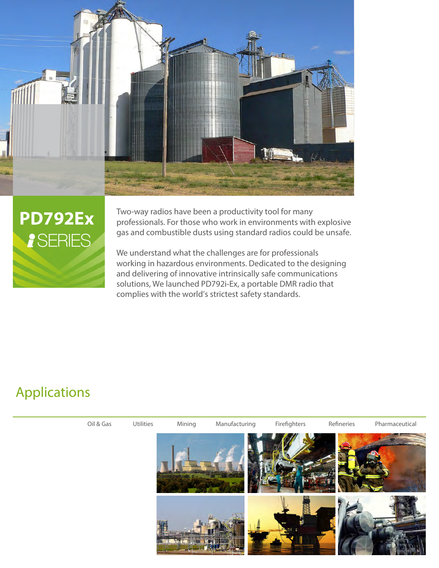



Two-way radios have been a productivity tool for many professionals. For those who work in environments with explosive gas and combustible dusts using standard radios could be unsafe.

We understand what the challenges are for professionals working in hazardous environments. Dedicated to the designing and delivering of innovative intrinsically safe communications solutions, We launched PD792i-Ex, a portable DMR radio that complies with the world's strictest safety standards.

## Applications

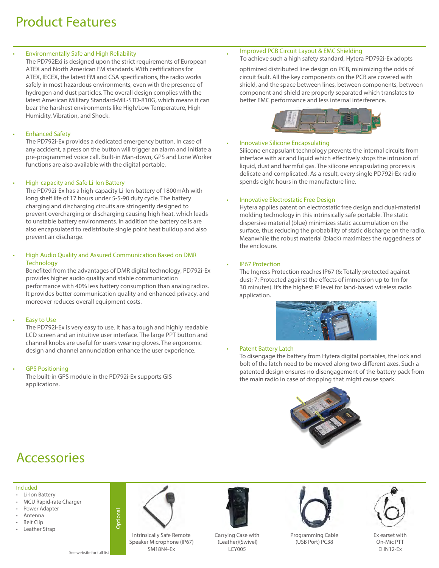## Product Features

#### **Environmentally Safe and High Reliability** •

The PD792Exi is designed upon the strict requirements of European ATEX and North American FM standards. With certifications for ATEX, IECEX, the latest FM and CSA specifications, the radio works safely in most hazardous environments, even with the presence of hydrogen and dust particles. The overall design complies with the latest American Military Standard-MIL-STD-810G, which means it can bear the harshest environments like High/Low Temperature, High Humidity, Vibration, and Shock.

#### **Enhanced Safety**

The PD792i-Ex provides a dedicated emergency button. In case of any accident, a press on the button will trigger an alarm and initiate a pre-programmed voice call. Built-in Man-down, GPS and Lone Worker functions are also available with the digital portable.

#### High-capacity and Safe Li-Ion Battery

The PD792i-Ex has a high-capacity Li-Ion battery of 1800mAh with long shelf life of 17 hours under 5-5-90 duty cycle. The battery charging and discharging circuits are stringently designed to prevent overcharging or discharging causing high heat, which leads to unstable battery environments. In addition the battery cells are also encapsulated to redistribute single point heat buildup and also prevent air discharge.

#### High Audio Quality and Assured Communication Based on DMR **Technology**

Benefited from the advantages of DMR digital technology, PD792i-Ex provides higher audio quality and stable communication performance with 40% less battery consumption than analog radios. It provides better communication quality and enhanced privacy, and moreover reduces overall equipment costs.

### **Easy to Use**

The PD792i-Ex is very easy to use. It has a tough and highly readable LCD screen and an intuitive user interface. The large PPT button and channel knobs are useful for users wearing gloves. The ergonomic design and channel annunciation enhance the user experience.

### **GPS Positioning**

The built-in GPS module in the PD792i-Ex supports GIS applications.

#### Improved PCB Circuit Layout & EMC Shielding

To achieve such a high safety standard, Hytera PD792i-Ex adopts

optimized distributed line design on PCB, minimizing the odds of circuit fault. All the key components on the PCB are covered with shield, and the space between lines, between components, between component and shield are properly separated which translates to better EMC performance and less internal interference.



### Innovative Silicone Encapsulating

Silicone encapsulant technology prevents the internal circuits from interface with air and liquid which effectively stops the intrusion of liquid, dust and harmful gas. The silicone encapsulating process is delicate and complicated. As a result, every single PD792i-Ex radio spends eight hours in the manufacture line.

#### **Innovative Electrostatic Free Design**

Hytera applies patent on electrostatic free design and dual-material molding technology in this intrinsically safe portable. The static dispersive material (blue) minimizes static accumulation on the surface, thus reducing the probability of static discharge on the radio. Meanwhile the robust material (black) maximizes the ruggedness of the enclosure.

#### **IP67 Protection**

The Ingress Protection reaches IP67 (6: Totally protected against dust; 7: Protected against the effects of immersion up to 1m for 30 minutes). It's the highest IP level for land-based wireless radio application.



#### Patent Battery Latch

To disengage the battery from Hytera digital portables, the lock and bolt of the latch need to be moved along two different axes. Such a patented design ensures no disengagement of the battery pack from the main radio in case of dropping that might cause spark.



## Accessories

#### Included

- Li-Ion Battery
- MCU Rapid-rate Charger
- Power Adapter
- Antenna **Belt Clip**
- 
- Leather Strap



Optional



Intrinsically Safe Remote Speaker Microphone (IP67) SM18N4-Ex See website for full list **EHN12-Ex** SM18N4-Ex **See website for full list EHN12-Ex** 



Carrying Case with (Leather)(Swivel) LCY005



Programming Cable (USB Port) PC38



Ex earset with On-Mic PTT